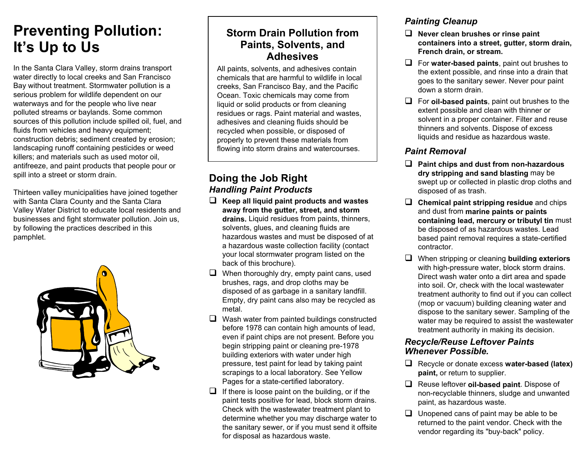## **Preventing Pollution: It's Up to Us**

In the Santa Clara Valley, storm drains transport water directly to local creeks and San Francisco Bay without treatment. Stormwater pollution is a serious problem for wildlife dependent on our waterways and for the people who live near polluted streams or baylands. Some common sources of this pollution include spilled oil, fuel, and fluids from vehicles and heavy equipment; construction debris; sediment created by erosion; landscaping runoff containing pesticides or weed killers; and materials such as used motor oil, antifreeze, and paint products that people pour or spill into a street or storm drain.

Thirteen valley municipalities have joined together with Santa Clara County and the Santa Clara Valley Water District to educate local residents and businesses and fight stormwater pollution. Join us, by following the practices described in this pamphlet.



## **Storm Drain Pollution from Paints, Solvents, and Adhesives**

All paints, solvents, and adhesives contain chemicals that are harmful to wildlife in local creeks, San Francisco Bay, and the Pacific Ocean. Toxic chemicals may come from liquid or solid products or from cleaning residues or rags. Paint material and wastes, adhesives and cleaning fluids should be recycled when possible, or disposed of properly to prevent these materials from flowing into storm drains and watercourses.

## **Doing the Job Right** *Handling Paint Products*

- **Keep all liquid paint products and wastes away from the gutter, street, and storm drains.** Liquid residues from paints, thinners, solvents, glues, and cleaning fluids are hazardous wastes and must be disposed of at a hazardous waste collection facility (contact your local stormwater program listed on the back of this brochure).
- $\Box$  When thoroughly dry, empty paint cans, used brushes, rags, and drop cloths may be disposed of as garbage in a sanitary landfill. Empty, dry paint cans also may be recycled as metal.
- $\Box$  Wash water from painted buildings constructed before 1978 can contain high amounts of lead, even if paint chips are not present. Before you begin stripping paint or cleaning pre-1978 building exteriors with water under high pressure, test paint for lead by taking paint scrapings to a local laboratory. See Yellow Pages for a state-certified laboratory.
- $\Box$  If there is loose paint on the building, or if the paint tests positive for lead, block storm drains. Check with the wastewater treatment plant to determine whether you may discharge water to the sanitary sewer, or if you must send it offsite for disposal as hazardous waste.

## *Painting Cleanup*

- **Never clean brushes or rinse paint containers into a street, gutter, storm drain, French drain, or stream.**
- For **water-based paints**, paint out brushes to the extent possible, and rinse into a drain that goes to the sanitary sewer. Never pour paint down a storm drain.
- For **oil-based paints**, paint out brushes to the extent possible and clean with thinner or solvent in a proper container. Filter and reuse thinners and solvents. Dispose of excess liquids and residue as hazardous waste.

## *Paint Removal*

- **Paint chips and dust from non-hazardous dry stripping and sand blasting** may be swept up or collected in plastic drop cloths and disposed of as trash.
- **Chemical paint stripping residue** and chips and dust from **marine paints or paints containing lead, mercury or tributyl tin** must be disposed of as hazardous wastes. Lead based paint removal requires a state-certified contractor.
- When stripping or cleaning **building exteriors** with high-pressure water, block storm drains. Direct wash water onto a dirt area and spade into soil. Or, check with the local wastewater treatment authority to find out if you can collect (mop or vacuum) building cleaning water and dispose to the sanitary sewer. Sampling of the water may be required to assist the wastewater treatment authority in making its decision.

#### *Recycle/Reuse Leftover Paints Whenever Possible.*

- Recycle or donate excess **water-based (latex) paint,** or return to supplier.
- Reuse leftover **oil-based paint**. Dispose of non-recyclable thinners, sludge and unwanted paint, as hazardous waste.
- $\Box$  Unopened cans of paint may be able to be returned to the paint vendor. Check with the vendor regarding its "buy-back" policy.